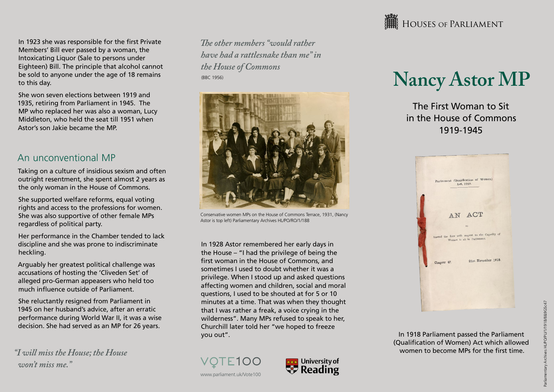In 1923 she was responsible for the first Private Members' Bill ever passed by a woman, the Intoxicating Liquor (Sale to persons under Eighteen) Bill. The principle that alcohol cannot be sold to anyone under the age of 18 remains to this day.

She won seven elections between 1919 and 1935, retiring from Parliament in 1945. The MP who replaced her was also a woman, Lucy Middleton, who held the seat till 1951 when Astor's son Jakie became the MP.

#### An unconventional MP

Taking on a culture of insidious sexism and often outright resentment, she spent almost 2 years as the only woman in the House of Commons.

She supported welfare reforms, equal voting rights and access to the professions for women. She was also supportive of other female MPs regardless of political party.

Her performance in the Chamber tended to lack discipline and she was prone to indiscriminate heckling.

Arguably her greatest political challenge was accusations of hosting the 'Cliveden Set' of alleged pro-German appeasers who held too much influence outside of Parliament.

She reluctantly resigned from Parliament in 1945 on her husband's advice, after an erratic performance during World War II, it was a wise decision. She had served as an MP for 26 years.

*"I will miss the House; the House won't miss me."*

*The other members "would rather have had a rattlesnake than me" in the House of Commons* (BBC 1956)



Conservative women MPs on the House of Commons Terrace, 1931, (Nancy Astor is top left) Parliamentary Archives HL/PO/RO/1/188

In 1928 Astor remembered her early days in the House – "I had the privilege of being the first woman in the House of Commons, and sometimes I used to doubt whether it was a privilege. When I stood up and asked questions affecting women and children, social and moral questions, I used to be shouted at for 5 or 10 minutes at a time. That was when they thought that I was rather a freak, a voice crying in the wilderness". Many MPs refused to speak to her, Churchill later told her "we hoped to freeze you out".





**HERE** HOUSES OF PARLIAMENT

# **Nancy Astor MP**

The First Woman to Sit in the House of Commons 1919-1945



In 1918 Parliament passed the Parliament (Qualification of Women) Act which allowed women to become MPs for the first time.